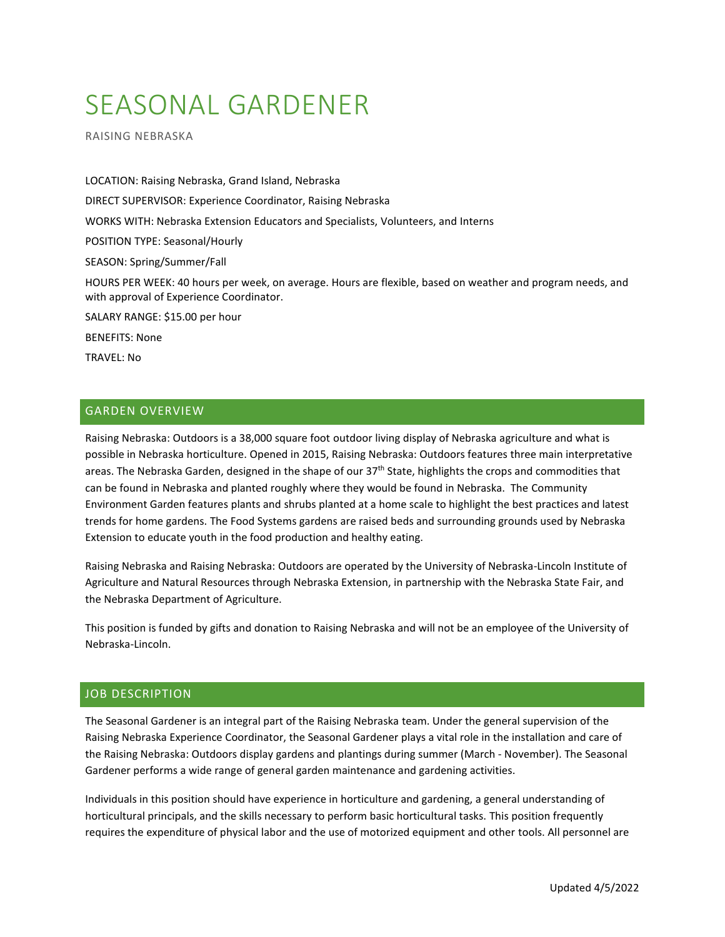# SEASONAL GARDENER

RAISING NEBRASKA

LOCATION: Raising Nebraska, Grand Island, Nebraska DIRECT SUPERVISOR: Experience Coordinator, Raising Nebraska WORKS WITH: Nebraska Extension Educators and Specialists, Volunteers, and Interns POSITION TYPE: Seasonal/Hourly SEASON: Spring/Summer/Fall HOURS PER WEEK: 40 hours per week, on average. Hours are flexible, based on weather and program needs, and with approval of Experience Coordinator. SALARY RANGE: \$15.00 per hour BENEFITS: None TRAVEL: No

## GARDEN OVERVIEW

Raising Nebraska: Outdoors is a 38,000 square foot outdoor living display of Nebraska agriculture and what is possible in Nebraska horticulture. Opened in 2015, Raising Nebraska: Outdoors features three main interpretative areas. The Nebraska Garden, designed in the shape of our 37<sup>th</sup> State, highlights the crops and commodities that can be found in Nebraska and planted roughly where they would be found in Nebraska. The Community Environment Garden features plants and shrubs planted at a home scale to highlight the best practices and latest trends for home gardens. The Food Systems gardens are raised beds and surrounding grounds used by Nebraska Extension to educate youth in the food production and healthy eating.

Raising Nebraska and Raising Nebraska: Outdoors are operated by the University of Nebraska-Lincoln Institute of Agriculture and Natural Resources through Nebraska Extension, in partnership with the Nebraska State Fair, and the Nebraska Department of Agriculture.

This position is funded by gifts and donation to Raising Nebraska and will not be an employee of the University of Nebraska-Lincoln.

#### JOB DESCRIPTION

The Seasonal Gardener is an integral part of the Raising Nebraska team. Under the general supervision of the Raising Nebraska Experience Coordinator, the Seasonal Gardener plays a vital role in the installation and care of the Raising Nebraska: Outdoors display gardens and plantings during summer (March - November). The Seasonal Gardener performs a wide range of general garden maintenance and gardening activities.

Individuals in this position should have experience in horticulture and gardening, a general understanding of horticultural principals, and the skills necessary to perform basic horticultural tasks. This position frequently requires the expenditure of physical labor and the use of motorized equipment and other tools. All personnel are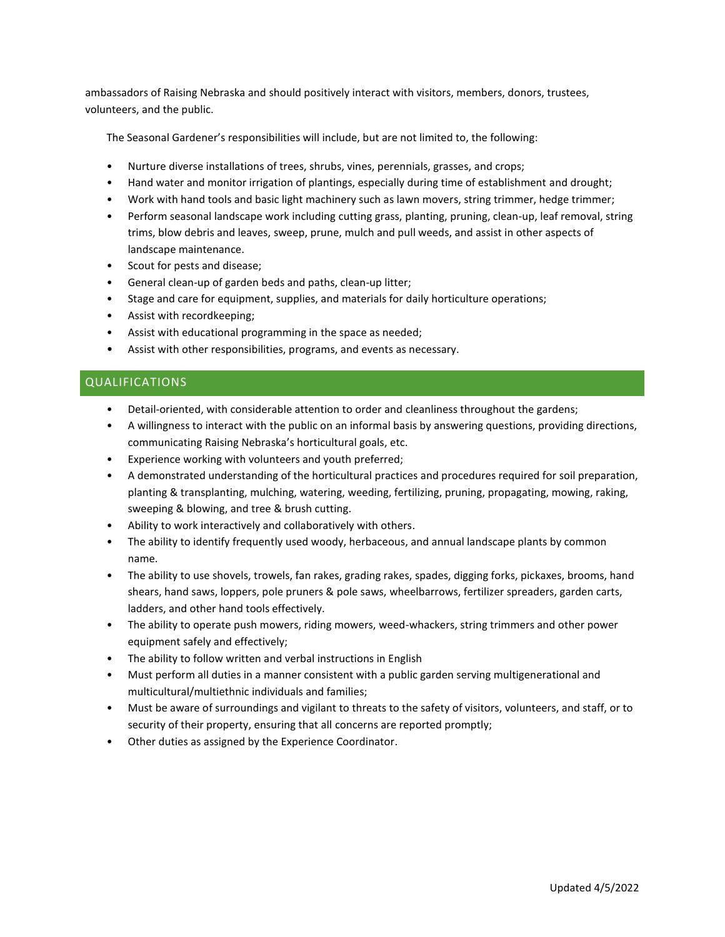ambassadors of Raising Nebraska and should positively interact with visitors, members, donors, trustees, volunteers, and the public.

The Seasonal Gardener's responsibilities will include, but are not limited to, the following:

- Nurture diverse installations of trees, shrubs, vines, perennials, grasses, and crops;
- Hand water and monitor irrigation of plantings, especially during time of establishment and drought;
- Work with hand tools and basic light machinery such as lawn movers, string trimmer, hedge trimmer;
- Perform seasonal landscape work including cutting grass, planting, pruning, clean-up, leaf removal, string trims, blow debris and leaves, sweep, prune, mulch and pull weeds, and assist in other aspects of landscape maintenance.
- Scout for pests and disease;
- General clean-up of garden beds and paths, clean-up litter;
- Stage and care for equipment, supplies, and materials for daily horticulture operations;
- Assist with recordkeeping;
- Assist with educational programming in the space as needed;
- Assist with other responsibilities, programs, and events as necessary.

#### QUALIFICATIONS

- Detail-oriented, with considerable attention to order and cleanliness throughout the gardens;
- A willingness to interact with the public on an informal basis by answering questions, providing directions, communicating Raising Nebraska's horticultural goals, etc.
- Experience working with volunteers and youth preferred;
- A demonstrated understanding of the horticultural practices and procedures required for soil preparation, planting & transplanting, mulching, watering, weeding, fertilizing, pruning, propagating, mowing, raking, sweeping & blowing, and tree & brush cutting.
- Ability to work interactively and collaboratively with others.
- The ability to identify frequently used woody, herbaceous, and annual landscape plants by common name.
- The ability to use shovels, trowels, fan rakes, grading rakes, spades, digging forks, pickaxes, brooms, hand shears, hand saws, loppers, pole pruners & pole saws, wheelbarrows, fertilizer spreaders, garden carts, ladders, and other hand tools effectively.
- The ability to operate push mowers, riding mowers, weed-whackers, string trimmers and other power equipment safely and effectively;
- The ability to follow written and verbal instructions in English
- Must perform all duties in a manner consistent with a public garden serving multigenerational and multicultural/multiethnic individuals and families;
- Must be aware of surroundings and vigilant to threats to the safety of visitors, volunteers, and staff, or to security of their property, ensuring that all concerns are reported promptly;
- Other duties as assigned by the Experience Coordinator.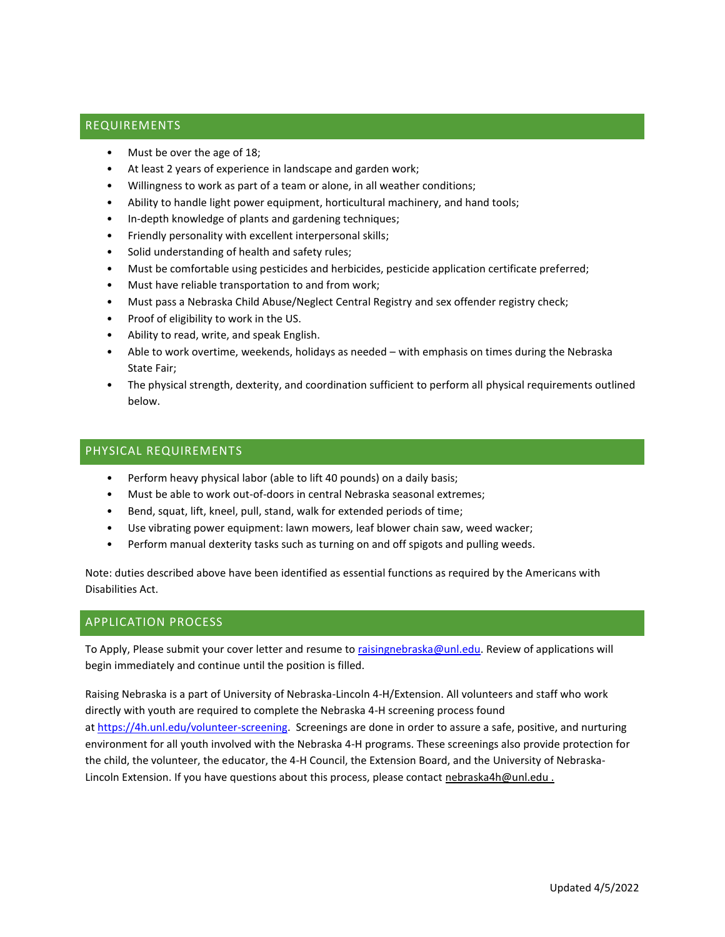## REQUIREMENTS

- Must be over the age of 18;
- At least 2 years of experience in landscape and garden work;
- Willingness to work as part of a team or alone, in all weather conditions;
- Ability to handle light power equipment, horticultural machinery, and hand tools;
- In-depth knowledge of plants and gardening techniques;
- Friendly personality with excellent interpersonal skills;
- Solid understanding of health and safety rules;
- Must be comfortable using pesticides and herbicides, pesticide application certificate preferred;
- Must have reliable transportation to and from work;
- Must pass a Nebraska Child Abuse/Neglect Central Registry and sex offender registry check;
- Proof of eligibility to work in the US.
- Ability to read, write, and speak English.
- Able to work overtime, weekends, holidays as needed with emphasis on times during the Nebraska State Fair;
- The physical strength, dexterity, and coordination sufficient to perform all physical requirements outlined below.

### PHYSICAL REQUIREMENTS

- Perform heavy physical labor (able to lift 40 pounds) on a daily basis;
- Must be able to work out-of-doors in central Nebraska seasonal extremes;
- Bend, squat, lift, kneel, pull, stand, walk for extended periods of time;
- Use vibrating power equipment: lawn mowers, leaf blower chain saw, weed wacker;
- Perform manual dexterity tasks such as turning on and off spigots and pulling weeds.

Note: duties described above have been identified as essential functions as required by the Americans with Disabilities Act.

#### APPLICATION PROCESS

To Apply, Please submit your cover letter and resume t[o raisingnebraska@unl.edu.](mailto:raisingnebraska@unl.edu) Review of applications will begin immediately and continue until the position is filled.

Raising Nebraska is a part of University of Nebraska-Lincoln 4-H/Extension. All volunteers and staff who work directly with youth are required to complete the Nebraska 4-H screening process found at [https://4h.unl.edu/volunteer-screening.](https://4h.unl.edu/volunteer-screening) Screenings are done in order to assure a safe, positive, and nurturing environment for all youth involved with the Nebraska 4-H programs. These screenings also provide protection for the child, the volunteer, the educator, the 4-H Council, the Extension Board, and the University of Nebraska-Lincoln Extension. If you have questions about this process, please contact nebraska4h@unl.edu.